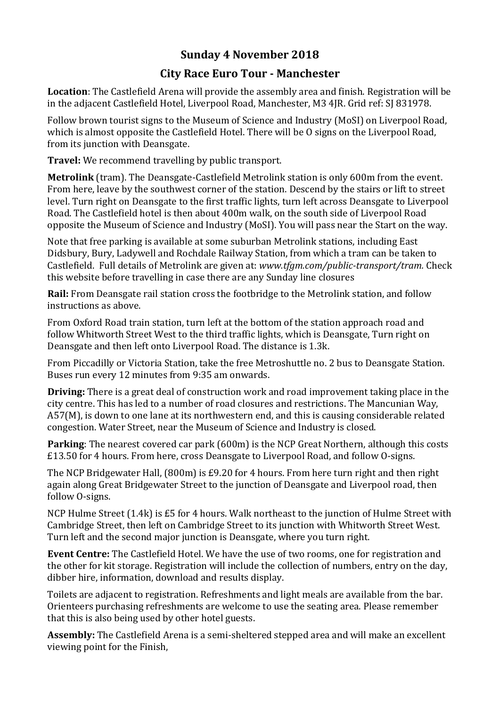## **Sunday 4 November 2018**

## **City Race Euro Tour - Manchester**

**Location**: The Castlefield Arena will provide the assembly area and finish. Registration will be in the adjacent Castlefield Hotel, Liverpool Road, Manchester, M3 4JR. Grid ref: SJ 831978.

Follow brown tourist signs to the Museum of Science and Industry (MoSI) on Liverpool Road, which is almost opposite the Castlefield Hotel. There will be O signs on the Liverpool Road, from its junction with Deansgate.

**Travel:** We recommend travelling by public transport.

**Metrolink** (tram). The Deansgate-Castlefield Metrolink station is only 600m from the event. From here, leave by the southwest corner of the station. Descend by the stairs or lift to street level. Turn right on Deansgate to the first traffic lights, turn left across Deansgate to Liverpool Road. The Castlefield hotel is then about 400m walk, on the south side of Liverpool Road opposite the Museum of Science and Industry (MoSI). You will pass near the Start on the way.

Note that free parking is available at some suburban Metrolink stations, including East Didsbury, Bury, Ladywell and Rochdale Railway Station, from which a tram can be taken to Castlefield. Full details of Metrolink are given at: *www.tfgm.com/public-transport/tram.* Check this website before travelling in case there are any Sunday line closures

**Rail:** From Deansgate rail station cross the footbridge to the Metrolink station, and follow instructions as above.

From Oxford Road train station, turn left at the bottom of the station approach road and follow Whitworth Street West to the third traffic lights, which is Deansgate, Turn right on Deansgate and then left onto Liverpool Road. The distance is 1.3k.

From Piccadilly or Victoria Station, take the free Metroshuttle no. 2 bus to Deansgate Station. Buses run every 12 minutes from 9:35 am onwards.

**Driving:** There is a great deal of construction work and road improvement taking place in the city centre. This has led to a number of road closures and restrictions. The Mancunian Way, A57(M), is down to one lane at its northwestern end, and this is causing considerable related congestion. Water Street, near the Museum of Science and Industry is closed.

**Parking:** The nearest covered car park (600m) is the NCP Great Northern, although this costs £13.50 for 4 hours. From here, cross Deansgate to Liverpool Road, and follow O-signs.

The NCP Bridgewater Hall, (800m) is £9.20 for 4 hours. From here turn right and then right again along Great Bridgewater Street to the junction of Deansgate and Liverpool road, then follow O-signs.

NCP Hulme Street (1.4k) is £5 for 4 hours. Walk northeast to the junction of Hulme Street with Cambridge Street, then left on Cambridge Street to its junction with Whitworth Street West. Turn left and the second major junction is Deansgate, where you turn right.

**Event Centre:** The Castlefield Hotel. We have the use of two rooms, one for registration and the other for kit storage. Registration will include the collection of numbers, entry on the day, dibber hire, information, download and results display.

Toilets are adjacent to registration. Refreshments and light meals are available from the bar. Orienteers purchasing refreshments are welcome to use the seating area. Please remember that this is also being used by other hotel guests.

**Assembly:** The Castlefield Arena is a semi-sheltered stepped area and will make an excellent viewing point for the Finish,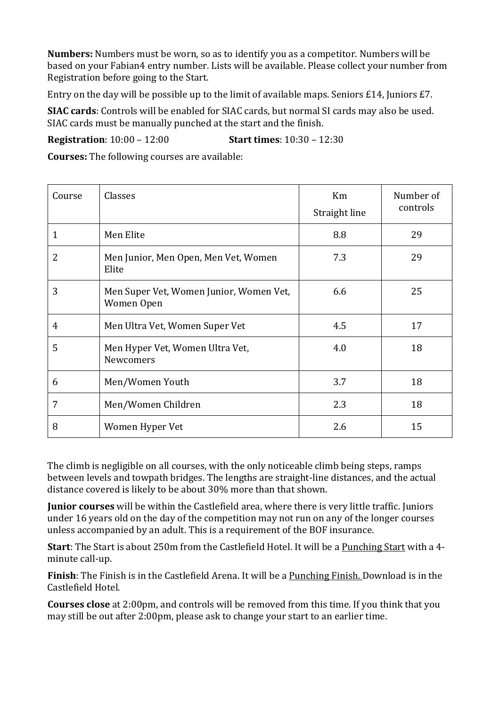**Numbers:** Numbers must be worn, so as to identify you as a competitor. Numbers will be based on your Fabian4 entry number. Lists will be available. Please collect your number from Registration before going to the Start.

Entry on the day will be possible up to the limit of available maps. Seniors £14, Juniors £7.

**SIAC cards**: Controls will be enabled for SIAC cards, but normal SI cards may also be used. SIAC cards must be manually punched at the start and the finish.

**Registration**: 10:00 – 12:00 **Start times**: 10:30 – 12:30

**Courses:** The following courses are available:

| Course | Classes                                               | Km<br>Straight line | Number of<br>controls |
|--------|-------------------------------------------------------|---------------------|-----------------------|
| 1      | Men Elite                                             | 8.8                 | 29                    |
| 2      | Men Junior, Men Open, Men Vet, Women<br>Elite         | 7.3                 | 29                    |
| 3      | Men Super Vet, Women Junior, Women Vet,<br>Women Open | 6.6                 | 25                    |
| 4      | Men Ultra Vet, Women Super Vet                        | 4.5                 | 17                    |
| 5      | Men Hyper Vet, Women Ultra Vet,<br><b>Newcomers</b>   | 4.0                 | 18                    |
| 6      | Men/Women Youth                                       | 3.7                 | 18                    |
| 7      | Men/Women Children                                    | 2.3                 | 18                    |
| 8      | Women Hyper Vet                                       | 2.6                 | 15                    |

The climb is negligible on all courses, with the only noticeable climb being steps, ramps between levels and towpath bridges. The lengths are straight-line distances, and the actual distance covered is likely to be about 30% more than that shown.

**Junior courses** will be within the Castlefield area, where there is very little traffic. Juniors under 16 years old on the day of the competition may not run on any of the longer courses unless accompanied by an adult. This is a requirement of the BOF insurance.

**Start**: The Start is about 250m from the Castlefield Hotel. It will be a Punching Start with a 4 minute call-up.

**Finish**: The Finish is in the Castlefield Arena. It will be a Punching Finish. Download is in the Castlefield Hotel.

**Courses close** at 2:00pm, and controls will be removed from this time. If you think that you may still be out after 2:00pm, please ask to change your start to an earlier time.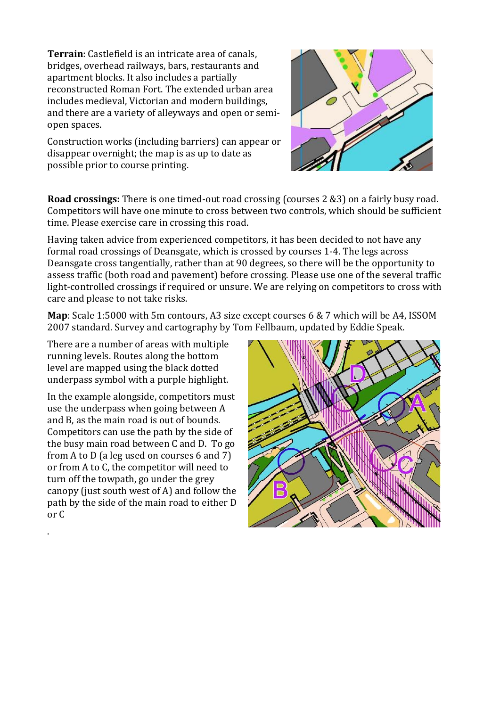**Terrain**: Castlefield is an intricate area of canals, bridges, overhead railways, bars, restaurants and apartment blocks. It also includes a partially reconstructed Roman Fort. The extended urban area includes medieval, Victorian and modern buildings, and there are a variety of alleyways and open or semiopen spaces.

Construction works (including barriers) can appear or disappear overnight; the map is as up to date as possible prior to course printing.

**Road crossings:** There is one timed-out road crossing (courses 2 &3) on a fairly busy road. Competitors will have one minute to cross between two controls, which should be sufficient time. Please exercise care in crossing this road.

Having taken advice from experienced competitors, it has been decided to not have any formal road crossings of Deansgate, which is crossed by courses 1-4. The legs across Deansgate cross tangentially, rather than at 90 degrees, so there will be the opportunity to assess traffic (both road and pavement) before crossing. Please use one of the several traffic light-controlled crossings if required or unsure. We are relying on competitors to cross with care and please to not take risks.

**Map**: Scale 1:5000 with 5m contours, A3 size except courses 6 & 7 which will be A4, ISSOM 2007 standard. Survey and cartography by Tom Fellbaum, updated by Eddie Speak.

There are a number of areas with multiple running levels. Routes along the bottom level are mapped using the black dotted underpass symbol with a purple highlight.

In the example alongside, competitors must use the underpass when going between A and B, as the main road is out of bounds. Competitors can use the path by the side of the busy main road between C and D. To go from A to D (a leg used on courses 6 and 7) or from A to C, the competitor will need to turn off the towpath, go under the grey canopy (just south west of A) and follow the path by the side of the main road to either D or C

.